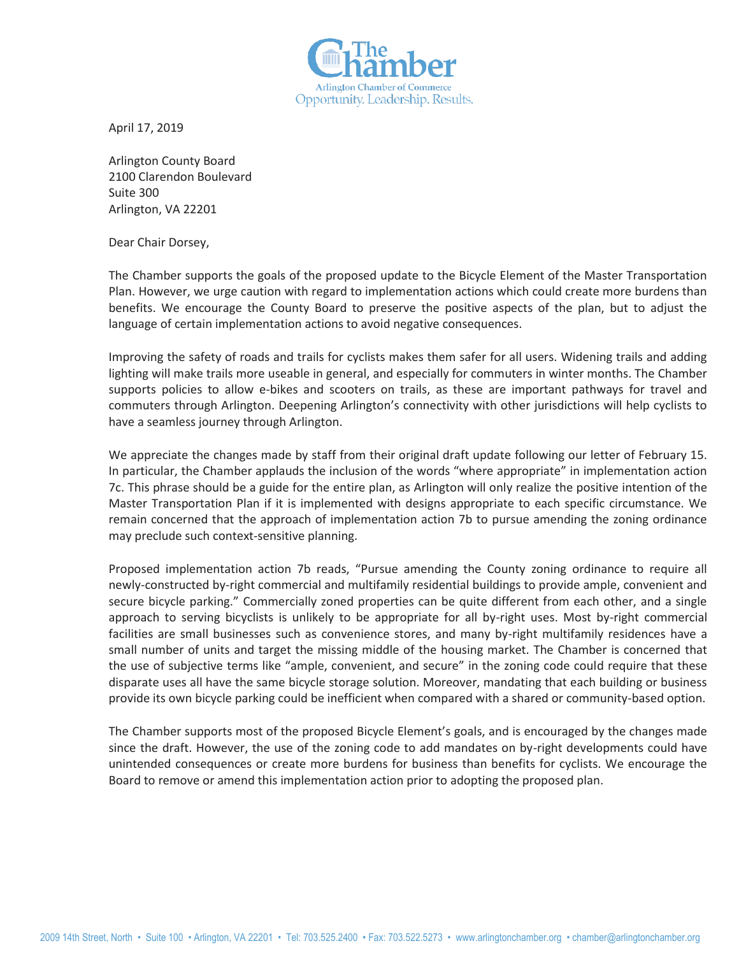

April 17, 2019

Arlington County Board 2100 Clarendon Boulevard Suite 300 Arlington, VA 22201

Dear Chair Dorsey,

The Chamber supports the goals of the proposed update to the Bicycle Element of the Master Transportation Plan. However, we urge caution with regard to implementation actions which could create more burdens than benefits. We encourage the County Board to preserve the positive aspects of the plan, but to adjust the language of certain implementation actions to avoid negative consequences.

Improving the safety of roads and trails for cyclists makes them safer for all users. Widening trails and adding lighting will make trails more useable in general, and especially for commuters in winter months. The Chamber supports policies to allow e-bikes and scooters on trails, as these are important pathways for travel and commuters through Arlington. Deepening Arlington's connectivity with other jurisdictions will help cyclists to have a seamless journey through Arlington.

We appreciate the changes made by staff from their original draft update following our letter of February 15. In particular, the Chamber applauds the inclusion of the words "where appropriate" in implementation action 7c. This phrase should be a guide for the entire plan, as Arlington will only realize the positive intention of the Master Transportation Plan if it is implemented with designs appropriate to each specific circumstance. We remain concerned that the approach of implementation action 7b to pursue amending the zoning ordinance may preclude such context-sensitive planning.

Proposed implementation action 7b reads, "Pursue amending the County zoning ordinance to require all newly-constructed by-right commercial and multifamily residential buildings to provide ample, convenient and secure bicycle parking." Commercially zoned properties can be quite different from each other, and a single approach to serving bicyclists is unlikely to be appropriate for all by-right uses. Most by-right commercial facilities are small businesses such as convenience stores, and many by-right multifamily residences have a small number of units and target the missing middle of the housing market. The Chamber is concerned that the use of subjective terms like "ample, convenient, and secure" in the zoning code could require that these disparate uses all have the same bicycle storage solution. Moreover, mandating that each building or business provide its own bicycle parking could be inefficient when compared with a shared or community-based option.

The Chamber supports most of the proposed Bicycle Element's goals, and is encouraged by the changes made since the draft. However, the use of the zoning code to add mandates on by-right developments could have unintended consequences or create more burdens for business than benefits for cyclists. We encourage the Board to remove or amend this implementation action prior to adopting the proposed plan.